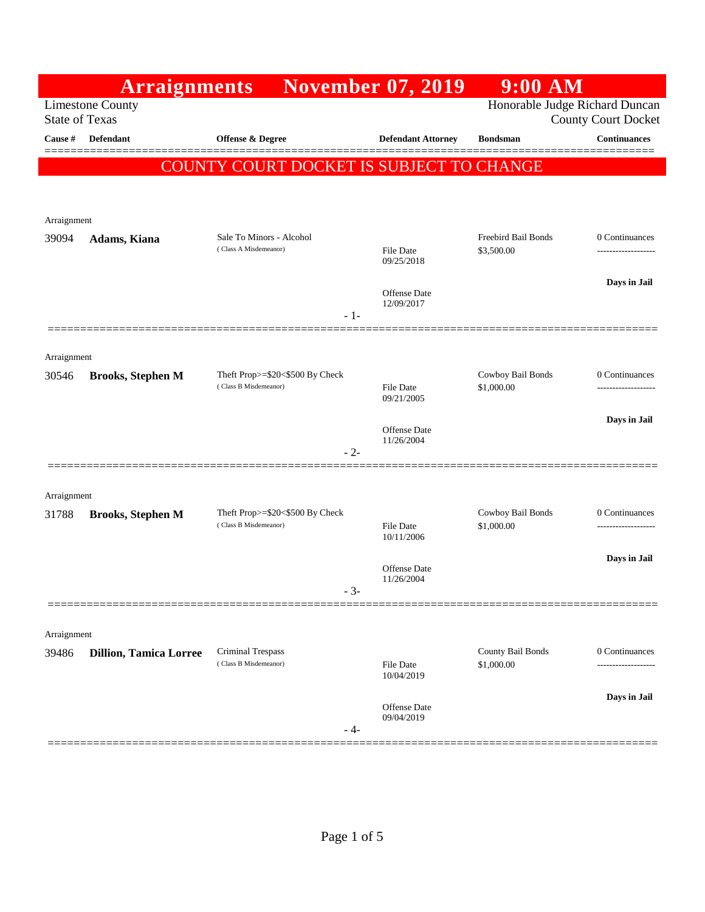|                                                  | <b>Arraignments</b>           |                                                          | <b>November 07, 2019</b>                                     | $9:00$ AM                       |                     |
|--------------------------------------------------|-------------------------------|----------------------------------------------------------|--------------------------------------------------------------|---------------------------------|---------------------|
| <b>Limestone County</b><br><b>State of Texas</b> |                               |                                                          | Honorable Judge Richard Duncan<br><b>County Court Docket</b> |                                 |                     |
| Cause #                                          | Defendant                     | <b>Offense &amp; Degree</b>                              | <b>Defendant Attorney</b>                                    | <b>Bondsman</b>                 | <b>Continuances</b> |
|                                                  |                               | COUNTY COURT DOCKET IS SUBJECT TO CHANGE                 |                                                              |                                 | ======              |
|                                                  |                               |                                                          |                                                              |                                 |                     |
| Arraignment                                      |                               |                                                          |                                                              |                                 |                     |
| 39094                                            | Adams, Kiana                  | Sale To Minors - Alcohol                                 |                                                              | Freebird Bail Bonds             | 0 Continuances      |
|                                                  |                               | (Class A Misdemeanor)                                    | <b>File Date</b><br>09/25/2018                               | \$3,500.00                      |                     |
|                                                  |                               |                                                          | Offense Date                                                 |                                 | Days in Jail        |
|                                                  |                               | $-1-$                                                    | 12/09/2017                                                   |                                 |                     |
|                                                  |                               |                                                          |                                                              |                                 |                     |
| Arraignment                                      |                               |                                                          |                                                              |                                 |                     |
| 30546                                            | <b>Brooks, Stephen M</b>      | Theft Prop>=\$20<\$500 By Check<br>(Class B Misdemeanor) | File Date                                                    | Cowboy Bail Bonds<br>\$1,000.00 | 0 Continuances      |
|                                                  |                               |                                                          | 09/21/2005                                                   |                                 |                     |
|                                                  |                               |                                                          | Offense Date<br>11/26/2004                                   |                                 | Days in Jail        |
|                                                  |                               | $-2-$                                                    |                                                              |                                 |                     |
|                                                  |                               |                                                          |                                                              |                                 |                     |
| Arraignment<br>31788                             | <b>Brooks, Stephen M</b>      | Theft Prop>=\$20<\$500 By Check                          |                                                              | Cowboy Bail Bonds               | 0 Continuances      |
|                                                  |                               | (Class B Misdemeanor)                                    | File Date<br>10/11/2006                                      | \$1,000.00                      |                     |
|                                                  |                               |                                                          |                                                              |                                 | Days in Jail        |
|                                                  |                               |                                                          | Offense Date<br>11/26/2004                                   |                                 |                     |
|                                                  |                               | $-3-$                                                    |                                                              |                                 |                     |
| Arraignment                                      |                               |                                                          |                                                              |                                 |                     |
| 39486                                            | <b>Dillion, Tamica Lorree</b> | Criminal Trespass                                        |                                                              | County Bail Bonds               | 0 Continuances      |
|                                                  |                               | (Class B Misdemeanor)                                    | <b>File Date</b><br>10/04/2019                               | \$1,000.00                      | -----------------   |
|                                                  |                               |                                                          | Offense Date                                                 |                                 | Days in Jail        |
|                                                  |                               | - 4-                                                     | 09/04/2019                                                   |                                 |                     |
|                                                  |                               |                                                          |                                                              |                                 |                     |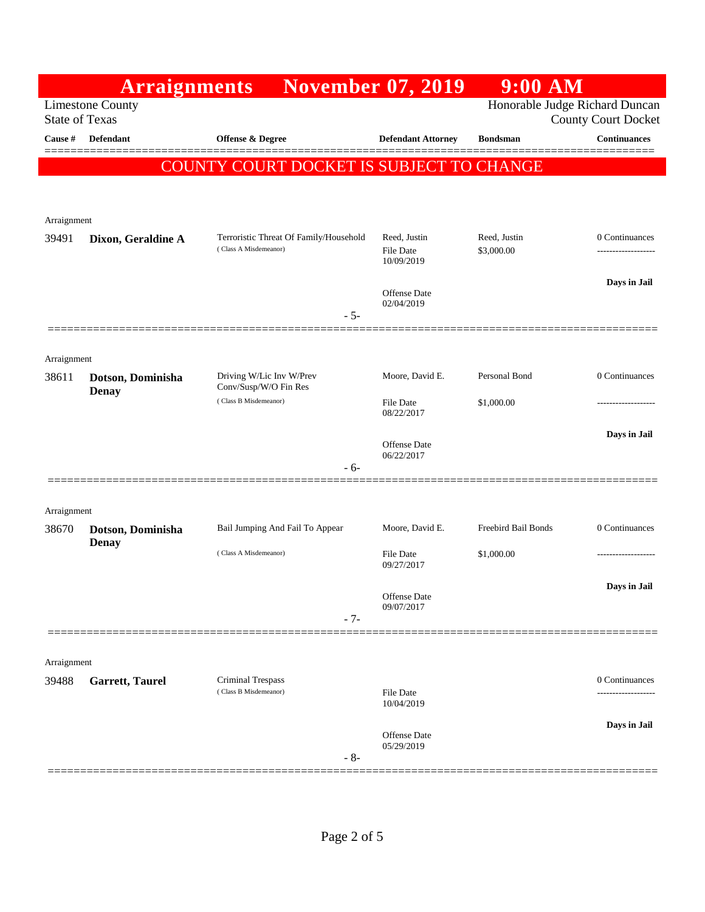|                       | <b>Arraignments</b>               |                                                                 | <b>November 07, 2019</b>          | $9:00$ AM           |                               |
|-----------------------|-----------------------------------|-----------------------------------------------------------------|-----------------------------------|---------------------|-------------------------------|
| <b>State of Texas</b> | <b>Limestone County</b>           | Honorable Judge Richard Duncan                                  | <b>County Court Docket</b>        |                     |                               |
| <b>Cause #</b>        | <b>Defendant</b>                  | <b>Offense &amp; Degree</b>                                     | <b>Defendant Attorney</b>         | <b>Bondsman</b>     | <b>Continuances</b>           |
|                       |                                   | COUNTY COURT DOCKET IS SUBJECT TO CHANGE                        |                                   |                     |                               |
|                       |                                   |                                                                 |                                   |                     |                               |
| Arraignment           |                                   |                                                                 |                                   |                     |                               |
| 39491                 | Dixon, Geraldine A                | Terroristic Threat Of Family/Household<br>(Class A Misdemeanor) | Reed, Justin                      | Reed, Justin        | 0 Continuances                |
|                       |                                   |                                                                 | File Date<br>10/09/2019           | \$3,000.00          | .                             |
|                       |                                   |                                                                 | <b>Offense</b> Date               |                     | Days in Jail                  |
|                       |                                   | $-5-$                                                           | 02/04/2019                        |                     |                               |
|                       |                                   |                                                                 |                                   |                     |                               |
| Arraignment           |                                   |                                                                 |                                   |                     |                               |
| 38611                 | Dotson, Dominisha<br><b>Denay</b> | Driving W/Lic Inv W/Prev<br>Conv/Susp/W/O Fin Res               | Moore, David E.                   | Personal Bond       | 0 Continuances                |
|                       |                                   | (Class B Misdemeanor)                                           | <b>File Date</b><br>08/22/2017    | \$1,000.00          | .                             |
|                       |                                   |                                                                 | <b>Offense</b> Date               |                     | Days in Jail                  |
|                       |                                   | - 6-                                                            | 06/22/2017                        |                     |                               |
|                       |                                   |                                                                 |                                   |                     |                               |
| Arraignment           |                                   |                                                                 |                                   |                     |                               |
| 38670                 | Dotson, Dominisha<br><b>Denay</b> | Bail Jumping And Fail To Appear                                 | Moore, David E.                   | Freebird Bail Bonds | 0 Continuances                |
|                       |                                   | (Class A Misdemeanor)                                           | <b>File Date</b><br>09/27/2017    | \$1,000.00          | ----------------              |
|                       |                                   |                                                                 | Offense Date                      |                     | Days in Jail                  |
|                       |                                   | $-7-$                                                           | 09/07/2017                        |                     |                               |
|                       |                                   |                                                                 |                                   |                     |                               |
| Arraignment           |                                   |                                                                 |                                   |                     |                               |
| 39488                 | <b>Garrett, Taurel</b>            | Criminal Trespass<br>(Class B Misdemeanor)                      | <b>File Date</b>                  |                     | 0 Continuances<br>----------- |
|                       |                                   |                                                                 | 10/04/2019                        |                     | Days in Jail                  |
|                       |                                   |                                                                 | <b>Offense</b> Date<br>05/29/2019 |                     |                               |
|                       |                                   | $-8-$                                                           |                                   |                     |                               |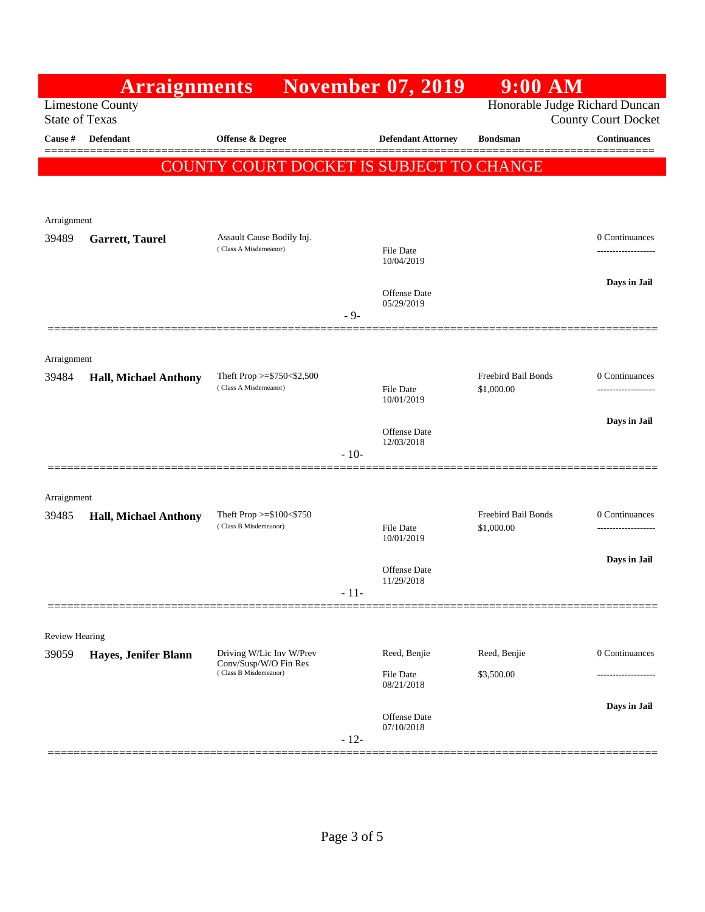|                                                  | <b>Arraignments</b>          |                                                      |        | <b>November 07, 2019</b>          | $9:00$ AM                                                    |                     |
|--------------------------------------------------|------------------------------|------------------------------------------------------|--------|-----------------------------------|--------------------------------------------------------------|---------------------|
| <b>Limestone County</b><br><b>State of Texas</b> |                              |                                                      |        |                                   | Honorable Judge Richard Duncan<br><b>County Court Docket</b> |                     |
| Cause #                                          | Defendant                    | Offense & Degree                                     |        | <b>Defendant Attorney</b>         | <b>Bondsman</b>                                              | <b>Continuances</b> |
|                                                  |                              | COUNTY COURT DOCKET IS SUBJECT TO CHANGE             |        |                                   |                                                              |                     |
|                                                  |                              |                                                      |        |                                   |                                                              |                     |
| Arraignment                                      |                              |                                                      |        |                                   |                                                              |                     |
| 39489                                            | <b>Garrett, Taurel</b>       | Assault Cause Bodily Inj.                            |        |                                   |                                                              | 0 Continuances      |
|                                                  |                              | (Class A Misdemeanor)                                |        | File Date<br>10/04/2019           |                                                              | -----------------   |
|                                                  |                              |                                                      |        | Offense Date                      |                                                              | Days in Jail        |
|                                                  |                              |                                                      | $-9-$  | 05/29/2019                        |                                                              |                     |
|                                                  |                              |                                                      |        |                                   |                                                              |                     |
| Arraignment                                      |                              |                                                      |        |                                   |                                                              |                     |
| 39484                                            | <b>Hall, Michael Anthony</b> | Theft Prop >= $$750<$2,500$<br>(Class A Misdemeanor) |        | <b>File Date</b><br>10/01/2019    | Freebird Bail Bonds<br>\$1,000.00                            | 0 Continuances<br>  |
|                                                  |                              |                                                      |        |                                   |                                                              | Days in Jail        |
|                                                  |                              |                                                      |        | <b>Offense Date</b><br>12/03/2018 |                                                              |                     |
|                                                  |                              |                                                      | $-10-$ |                                   |                                                              |                     |
| Arraignment                                      |                              |                                                      |        |                                   |                                                              |                     |
| 39485                                            | <b>Hall, Michael Anthony</b> | Theft Prop $>=\$100<\$750$<br>(Class B Misdemeanor)  |        |                                   | Freebird Bail Bonds                                          | 0 Continuances      |
|                                                  |                              |                                                      |        | File Date<br>10/01/2019           | \$1,000.00                                                   | ------------------- |
|                                                  |                              |                                                      |        | <b>Offense Date</b>               |                                                              | Days in Jail        |
|                                                  |                              |                                                      | - 11-  | 11/29/2018                        |                                                              |                     |
|                                                  |                              |                                                      |        |                                   |                                                              |                     |
| <b>Review Hearing</b><br>39059                   | Hayes, Jenifer Blann         | Driving W/Lic Inv W/Prev                             |        | Reed, Benjie                      | Reed, Benjie                                                 | 0 Continuances      |
|                                                  |                              | Conv/Susp/W/O Fin Res<br>(Class B Misdemeanor)       |        | File Date                         | \$3,500.00                                                   | .                   |
|                                                  |                              |                                                      |        | 08/21/2018                        |                                                              |                     |
|                                                  |                              |                                                      |        | <b>Offense Date</b><br>07/10/2018 |                                                              | Days in Jail        |
|                                                  |                              |                                                      | $-12-$ |                                   |                                                              |                     |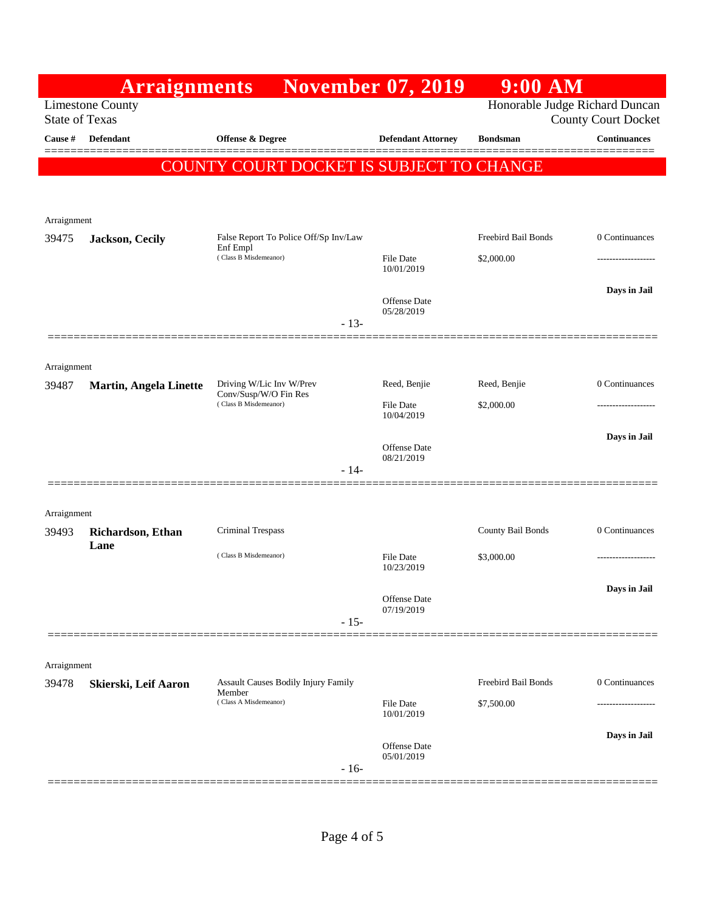|                                                  | <b>Arraignments</b>           |                                                                            | <b>November 07, 2019</b>                                     | $9:00$ AM           |                     |
|--------------------------------------------------|-------------------------------|----------------------------------------------------------------------------|--------------------------------------------------------------|---------------------|---------------------|
| <b>Limestone County</b><br><b>State of Texas</b> |                               |                                                                            | Honorable Judge Richard Duncan<br><b>County Court Docket</b> |                     |                     |
| <b>Cause #</b>                                   | <b>Defendant</b>              | Offense & Degree                                                           | <b>Defendant Attorney</b>                                    | <b>Bondsman</b>     | <b>Continuances</b> |
|                                                  |                               | COUNTY COURT DOCKET IS SUBJECT TO CHANGE                                   |                                                              |                     |                     |
|                                                  |                               |                                                                            |                                                              |                     |                     |
| Arraignment                                      |                               |                                                                            |                                                              |                     |                     |
| 39475                                            | Jackson, Cecily               | False Report To Police Off/Sp Inv/Law<br>Enf Empl<br>(Class B Misdemeanor) |                                                              | Freebird Bail Bonds | 0 Continuances      |
|                                                  |                               |                                                                            | <b>File Date</b><br>10/01/2019                               | \$2,000.00          |                     |
|                                                  |                               |                                                                            | <b>Offense</b> Date                                          |                     | Days in Jail        |
|                                                  |                               | $-13-$                                                                     | 05/28/2019                                                   |                     |                     |
|                                                  |                               |                                                                            |                                                              |                     |                     |
| Arraignment<br>39487                             | <b>Martin, Angela Linette</b> | Driving W/Lic Inv W/Prev                                                   | Reed, Benjie                                                 | Reed, Benjie        | 0 Continuances      |
|                                                  |                               | Conv/Susp/W/O Fin Res<br>(Class B Misdemeanor)                             | File Date<br>10/04/2019                                      | \$2,000.00          |                     |
|                                                  |                               |                                                                            |                                                              |                     | Days in Jail        |
|                                                  |                               | $-14-$                                                                     | <b>Offense</b> Date<br>08/21/2019                            |                     |                     |
|                                                  |                               |                                                                            |                                                              |                     |                     |
| Arraignment                                      |                               |                                                                            |                                                              |                     |                     |
| 39493                                            | Richardson, Ethan<br>Lane     | Criminal Trespass                                                          |                                                              | County Bail Bonds   | 0 Continuances      |
|                                                  |                               | (Class B Misdemeanor)                                                      | File Date<br>10/23/2019                                      | \$3,000.00          |                     |
|                                                  |                               |                                                                            | Offense Date                                                 |                     | Days in Jail        |
|                                                  |                               | $-15-$                                                                     | 07/19/2019                                                   |                     |                     |
|                                                  |                               |                                                                            |                                                              |                     |                     |
| Arraignment<br>39478                             | Skierski, Leif Aaron          | Assault Causes Bodily Injury Family                                        |                                                              | Freebird Bail Bonds | 0 Continuances      |
|                                                  |                               | Member<br>(Class A Misdemeanor)                                            | File Date                                                    | \$7,500.00          |                     |
|                                                  |                               |                                                                            | 10/01/2019                                                   |                     | Days in Jail        |
|                                                  |                               |                                                                            | Offense Date<br>05/01/2019                                   |                     |                     |
|                                                  |                               | $-16-$                                                                     |                                                              |                     |                     |